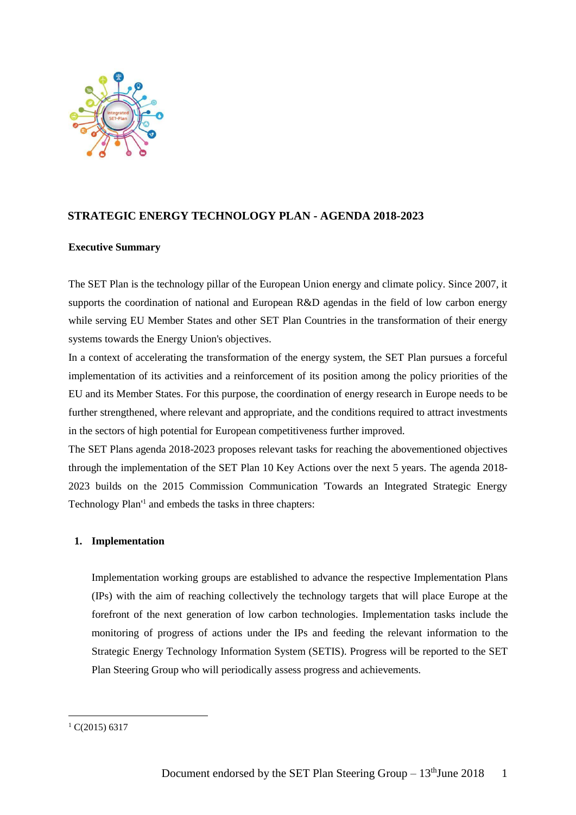

# **STRATEGIC ENERGY TECHNOLOGY PLAN - AGENDA 2018-2023**

## **Executive Summary**

The SET Plan is the technology pillar of the European Union energy and climate policy. Since 2007, it supports the coordination of national and European R&D agendas in the field of low carbon energy while serving EU Member States and other SET Plan Countries in the transformation of their energy systems towards the Energy Union's objectives.

In a context of accelerating the transformation of the energy system, the SET Plan pursues a forceful implementation of its activities and a reinforcement of its position among the policy priorities of the EU and its Member States. For this purpose, the coordination of energy research in Europe needs to be further strengthened, where relevant and appropriate, and the conditions required to attract investments in the sectors of high potential for European competitiveness further improved.

The SET Plans agenda 2018-2023 proposes relevant tasks for reaching the abovementioned objectives through the implementation of the SET Plan 10 Key Actions over the next 5 years. The agenda 2018- 2023 builds on the 2015 Commission Communication 'Towards an Integrated Strategic Energy Technology Plan'<sup>1</sup> and embeds the tasks in three chapters:

# **1. Implementation**

Implementation working groups are established to advance the respective Implementation Plans (IPs) with the aim of reaching collectively the technology targets that will place Europe at the forefront of the next generation of low carbon technologies. Implementation tasks include the monitoring of progress of actions under the IPs and feeding the relevant information to the Strategic Energy Technology Information System (SETIS). Progress will be reported to the SET Plan Steering Group who will periodically assess progress and achievements.

-

 $1 \text{ C}(2015)$  6317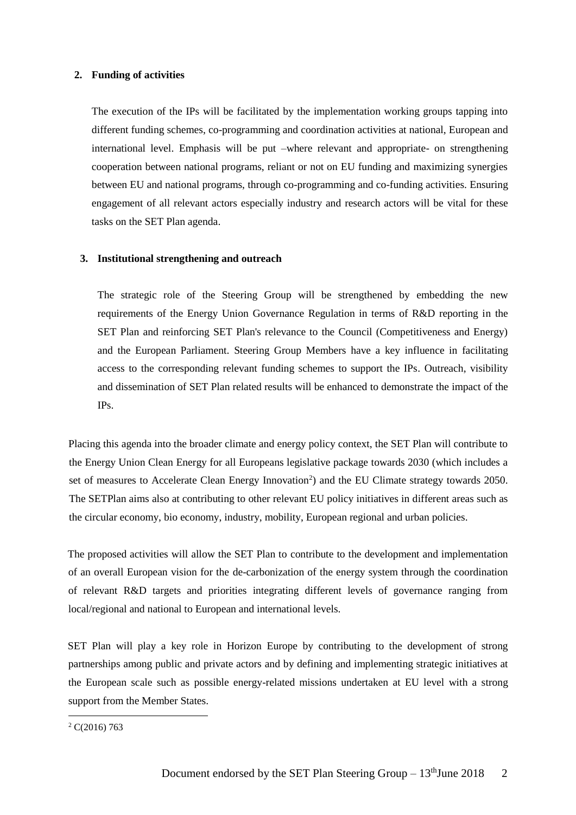## **2. Funding of activities**

The execution of the IPs will be facilitated by the implementation working groups tapping into different funding schemes, co-programming and coordination activities at national, European and international level. Emphasis will be put –where relevant and appropriate- on strengthening cooperation between national programs, reliant or not on EU funding and maximizing synergies between EU and national programs, through co-programming and co-funding activities. Ensuring engagement of all relevant actors especially industry and research actors will be vital for these tasks on the SET Plan agenda.

#### **3. Institutional strengthening and outreach**

The strategic role of the Steering Group will be strengthened by embedding the new requirements of the Energy Union Governance Regulation in terms of R&D reporting in the SET Plan and reinforcing SET Plan's relevance to the Council (Competitiveness and Energy) and the European Parliament. Steering Group Members have a key influence in facilitating access to the corresponding relevant funding schemes to support the IPs. Outreach, visibility and dissemination of SET Plan related results will be enhanced to demonstrate the impact of the IPs.

Placing this agenda into the broader climate and energy policy context, the SET Plan will contribute to the Energy Union Clean Energy for all Europeans legislative package towards 2030 (which includes a set of measures to Accelerate Clean Energy Innovation<sup>2</sup>) and the EU Climate strategy towards 2050. The SETPlan aims also at contributing to other relevant EU policy initiatives in different areas such as the circular economy, bio economy, industry, mobility, European regional and urban policies.

The proposed activities will allow the SET Plan to contribute to the development and implementation of an overall European vision for the de-carbonization of the energy system through the coordination of relevant R&D targets and priorities integrating different levels of governance ranging from local/regional and national to European and international levels.

SET Plan will play a key role in Horizon Europe by contributing to the development of strong partnerships among public and private actors and by defining and implementing strategic initiatives at the European scale such as possible energy-related missions undertaken at EU level with a strong support from the Member States.

-

 $2 \text{ C}(2016)$  763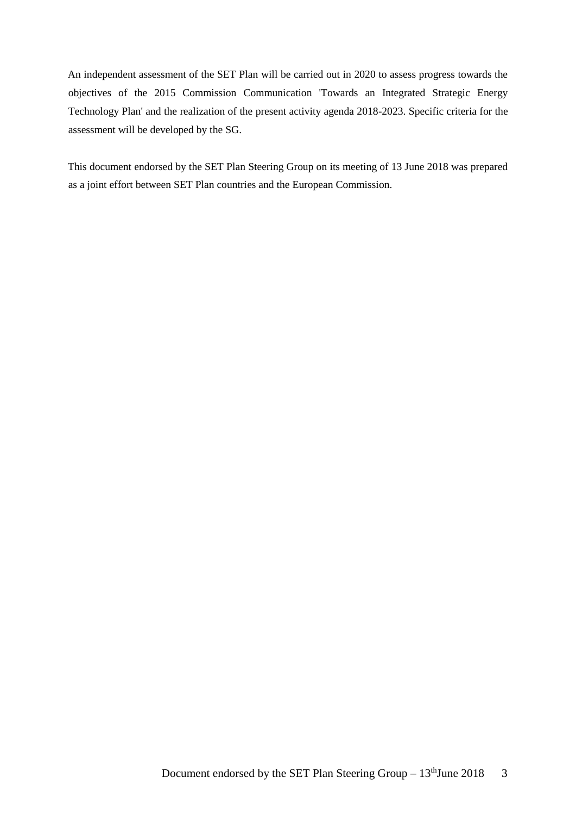An independent assessment of the SET Plan will be carried out in 2020 to assess progress towards the objectives of the 2015 Commission Communication 'Towards an Integrated Strategic Energy Technology Plan' and the realization of the present activity agenda 2018-2023. Specific criteria for the assessment will be developed by the SG.

This document endorsed by the SET Plan Steering Group on its meeting of 13 June 2018 was prepared as a joint effort between SET Plan countries and the European Commission.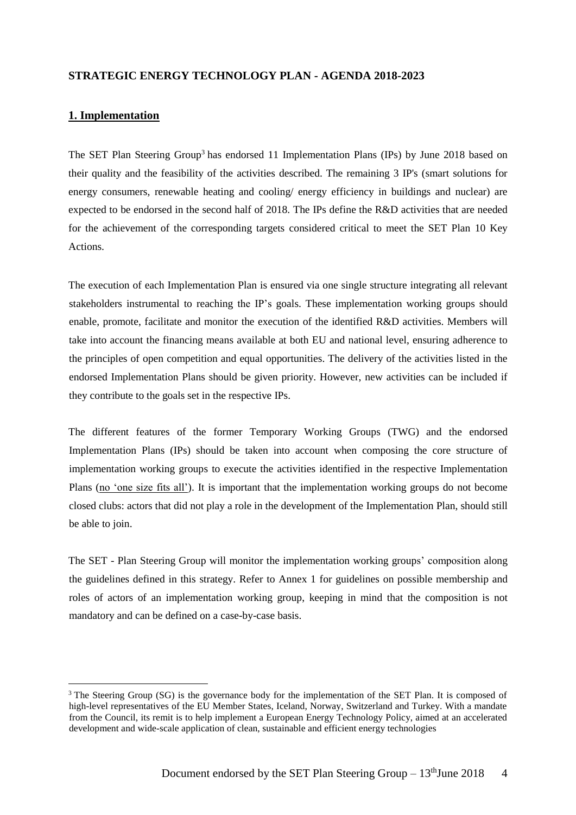# **STRATEGIC ENERGY TECHNOLOGY PLAN - AGENDA 2018-2023**

## **1. Implementation**

-

The SET Plan Steering Group<sup>3</sup> has endorsed 11 Implementation Plans (IPs) by June 2018 based on their quality and the feasibility of the activities described. The remaining 3 IP's (smart solutions for energy consumers, renewable heating and cooling/ energy efficiency in buildings and nuclear) are expected to be endorsed in the second half of 2018. The IPs define the R&D activities that are needed for the achievement of the corresponding targets considered critical to meet the SET Plan 10 Key Actions.

The execution of each Implementation Plan is ensured via one single structure integrating all relevant stakeholders instrumental to reaching the IP's goals. These implementation working groups should enable, promote, facilitate and monitor the execution of the identified R&D activities. Members will take into account the financing means available at both EU and national level, ensuring adherence to the principles of open competition and equal opportunities. The delivery of the activities listed in the endorsed Implementation Plans should be given priority. However, new activities can be included if they contribute to the goals set in the respective IPs.

The different features of the former Temporary Working Groups (TWG) and the endorsed Implementation Plans (IPs) should be taken into account when composing the core structure of implementation working groups to execute the activities identified in the respective Implementation Plans (no 'one size fits all'). It is important that the implementation working groups do not become closed clubs: actors that did not play a role in the development of the Implementation Plan, should still be able to join.

The SET - Plan Steering Group will monitor the implementation working groups' composition along the guidelines defined in this strategy. Refer to Annex 1 for guidelines on possible membership and roles of actors of an implementation working group, keeping in mind that the composition is not mandatory and can be defined on a case-by-case basis.

<sup>&</sup>lt;sup>3</sup> The Steering Group (SG) is the governance body for the implementation of the SET Plan. It is composed of high-level representatives of the EU Member States, Iceland, Norway, Switzerland and Turkey. With a mandate from the Council, its remit is to help implement a European Energy Technology Policy, aimed at an accelerated development and wide-scale application of clean, sustainable and efficient energy technologies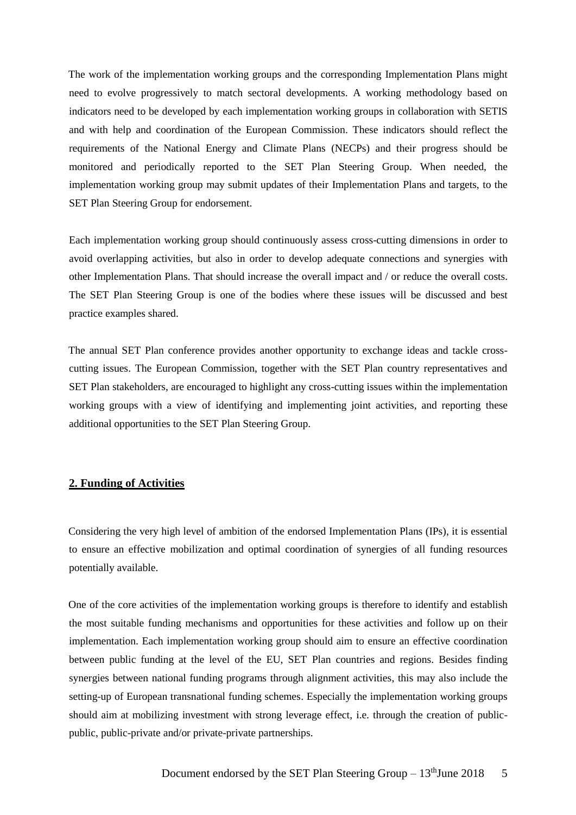The work of the implementation working groups and the corresponding Implementation Plans might need to evolve progressively to match sectoral developments. A working methodology based on indicators need to be developed by each implementation working groups in collaboration with SETIS and with help and coordination of the European Commission. These indicators should reflect the requirements of the National Energy and Climate Plans (NECPs) and their progress should be monitored and periodically reported to the SET Plan Steering Group. When needed, the implementation working group may submit updates of their Implementation Plans and targets, to the SET Plan Steering Group for endorsement.

Each implementation working group should continuously assess cross-cutting dimensions in order to avoid overlapping activities, but also in order to develop adequate connections and synergies with other Implementation Plans. That should increase the overall impact and / or reduce the overall costs. The SET Plan Steering Group is one of the bodies where these issues will be discussed and best practice examples shared.

The annual SET Plan conference provides another opportunity to exchange ideas and tackle crosscutting issues. The European Commission, together with the SET Plan country representatives and SET Plan stakeholders, are encouraged to highlight any cross-cutting issues within the implementation working groups with a view of identifying and implementing joint activities, and reporting these additional opportunities to the SET Plan Steering Group.

# **2. Funding of Activities**

Considering the very high level of ambition of the endorsed Implementation Plans (IPs), it is essential to ensure an effective mobilization and optimal coordination of synergies of all funding resources potentially available.

One of the core activities of the implementation working groups is therefore to identify and establish the most suitable funding mechanisms and opportunities for these activities and follow up on their implementation. Each implementation working group should aim to ensure an effective coordination between public funding at the level of the EU, SET Plan countries and regions. Besides finding synergies between national funding programs through alignment activities, this may also include the setting-up of European transnational funding schemes. Especially the implementation working groups should aim at mobilizing investment with strong leverage effect, i.e. through the creation of publicpublic, public-private and/or private-private partnerships.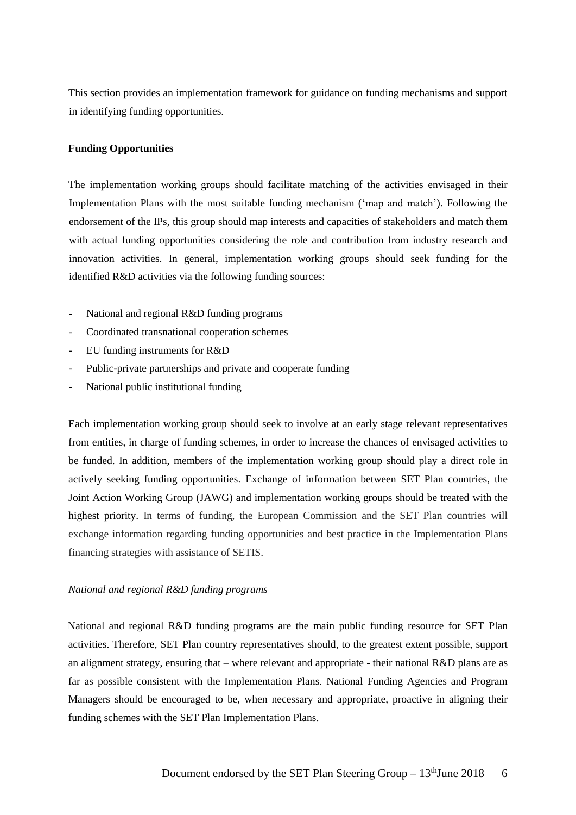This section provides an implementation framework for guidance on funding mechanisms and support in identifying funding opportunities.

## **Funding Opportunities**

The implementation working groups should facilitate matching of the activities envisaged in their Implementation Plans with the most suitable funding mechanism ('map and match'). Following the endorsement of the IPs, this group should map interests and capacities of stakeholders and match them with actual funding opportunities considering the role and contribution from industry research and innovation activities. In general, implementation working groups should seek funding for the identified R&D activities via the following funding sources:

- National and regional R&D funding programs
- Coordinated transnational cooperation schemes
- EU funding instruments for R&D
- Public-private partnerships and private and cooperate funding
- National public institutional funding

Each implementation working group should seek to involve at an early stage relevant representatives from entities, in charge of funding schemes, in order to increase the chances of envisaged activities to be funded. In addition, members of the implementation working group should play a direct role in actively seeking funding opportunities. Exchange of information between SET Plan countries, the Joint Action Working Group (JAWG) and implementation working groups should be treated with the highest priority. In terms of funding, the European Commission and the SET Plan countries will exchange information regarding funding opportunities and best practice in the Implementation Plans financing strategies with assistance of SETIS.

#### *National and regional R&D funding programs*

National and regional R&D funding programs are the main public funding resource for SET Plan activities. Therefore, SET Plan country representatives should, to the greatest extent possible, support an alignment strategy, ensuring that – where relevant and appropriate - their national R&D plans are as far as possible consistent with the Implementation Plans. National Funding Agencies and Program Managers should be encouraged to be, when necessary and appropriate, proactive in aligning their funding schemes with the SET Plan Implementation Plans.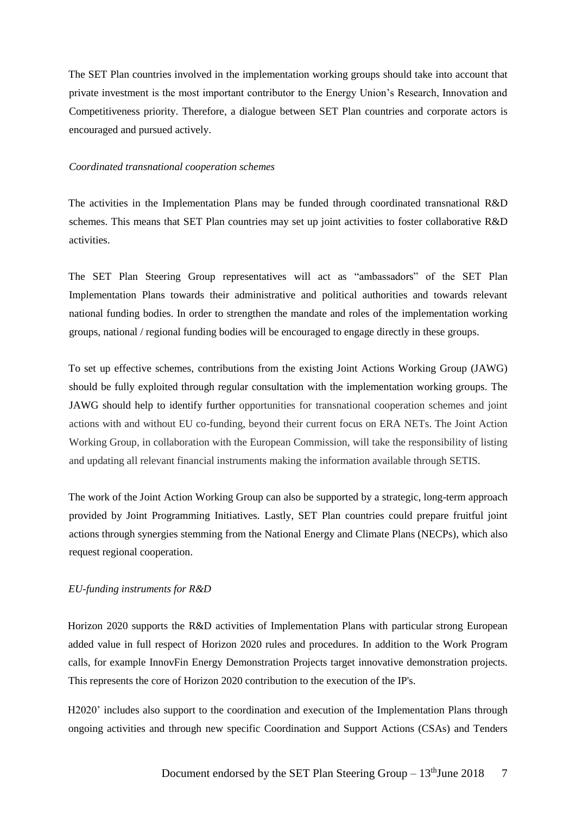The SET Plan countries involved in the implementation working groups should take into account that private investment is the most important contributor to the Energy Union's Research, Innovation and Competitiveness priority. Therefore, a dialogue between SET Plan countries and corporate actors is encouraged and pursued actively.

### *Coordinated transnational cooperation schemes*

The activities in the Implementation Plans may be funded through coordinated transnational R&D schemes. This means that SET Plan countries may set up joint activities to foster collaborative R&D activities.

The SET Plan Steering Group representatives will act as "ambassadors" of the SET Plan Implementation Plans towards their administrative and political authorities and towards relevant national funding bodies. In order to strengthen the mandate and roles of the implementation working groups, national / regional funding bodies will be encouraged to engage directly in these groups.

To set up effective schemes, contributions from the existing Joint Actions Working Group (JAWG) should be fully exploited through regular consultation with the implementation working groups. The JAWG should help to identify further opportunities for transnational cooperation schemes and joint actions with and without EU co-funding, beyond their current focus on ERA NETs. The Joint Action Working Group, in collaboration with the European Commission, will take the responsibility of listing and updating all relevant financial instruments making the information available through SETIS.

The work of the Joint Action Working Group can also be supported by a strategic, long-term approach provided by Joint Programming Initiatives. Lastly, SET Plan countries could prepare fruitful joint actions through synergies stemming from the National Energy and Climate Plans (NECPs), which also request regional cooperation.

## *EU-funding instruments for R&D*

Horizon 2020 supports the R&D activities of Implementation Plans with particular strong European added value in full respect of Horizon 2020 rules and procedures. In addition to the Work Program calls, for example InnovFin Energy Demonstration Projects target innovative demonstration projects. This represents the core of Horizon 2020 contribution to the execution of the IP's.

H2020' includes also support to the coordination and execution of the Implementation Plans through ongoing activities and through new specific Coordination and Support Actions (CSAs) and Tenders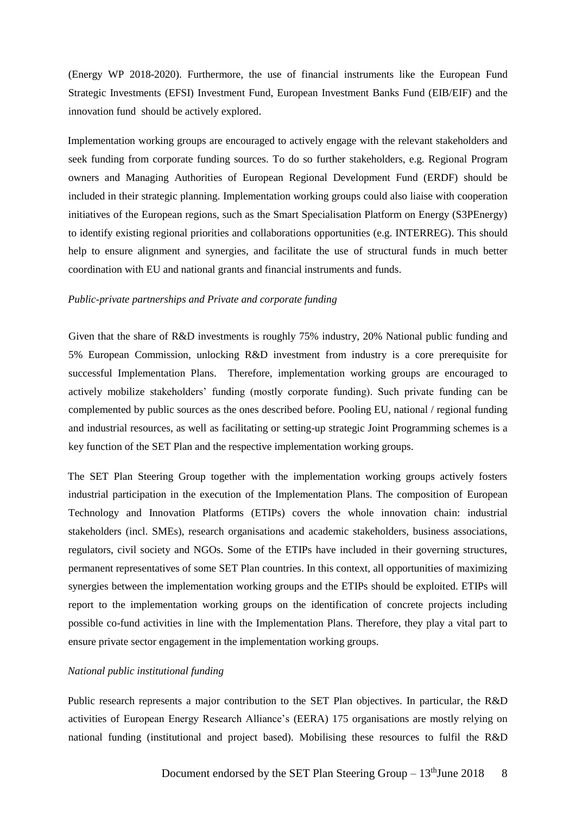(Energy WP 2018-2020). Furthermore, the use of financial instruments like the European Fund Strategic Investments (EFSI) Investment Fund, European Investment Banks Fund (EIB/EIF) and the innovation fund should be actively explored.

Implementation working groups are encouraged to actively engage with the relevant stakeholders and seek funding from corporate funding sources. To do so further stakeholders, e.g. Regional Program owners and Managing Authorities of European Regional Development Fund (ERDF) should be included in their strategic planning. Implementation working groups could also liaise with cooperation initiatives of the European regions, such as the Smart Specialisation Platform on Energy (S3PEnergy) to identify existing regional priorities and collaborations opportunities (e.g. INTERREG). This should help to ensure alignment and synergies, and facilitate the use of structural funds in much better coordination with EU and national grants and financial instruments and funds.

#### *Public-private partnerships and Private and corporate funding*

Given that the share of R&D investments is roughly 75% industry, 20% National public funding and 5% European Commission, unlocking R&D investment from industry is a core prerequisite for successful Implementation Plans. Therefore, implementation working groups are encouraged to actively mobilize stakeholders' funding (mostly corporate funding). Such private funding can be complemented by public sources as the ones described before. Pooling EU, national / regional funding and industrial resources, as well as facilitating or setting-up strategic Joint Programming schemes is a key function of the SET Plan and the respective implementation working groups.

The SET Plan Steering Group together with the implementation working groups actively fosters industrial participation in the execution of the Implementation Plans. The composition of European Technology and Innovation Platforms (ETIPs) covers the whole innovation chain: industrial stakeholders (incl. SMEs), research organisations and academic stakeholders, business associations, regulators, civil society and NGOs. Some of the ETIPs have included in their governing structures, permanent representatives of some SET Plan countries. In this context, all opportunities of maximizing synergies between the implementation working groups and the ETIPs should be exploited. ETIPs will report to the implementation working groups on the identification of concrete projects including possible co-fund activities in line with the Implementation Plans. Therefore, they play a vital part to ensure private sector engagement in the implementation working groups.

#### *National public institutional funding*

Public research represents a major contribution to the SET Plan objectives. In particular, the R&D activities of European Energy Research Alliance's (EERA) 175 organisations are mostly relying on national funding (institutional and project based). Mobilising these resources to fulfil the R&D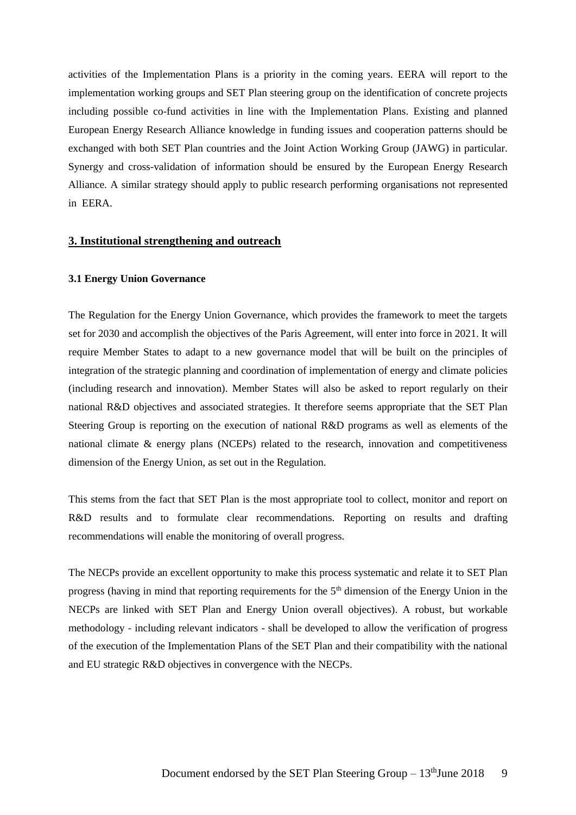activities of the Implementation Plans is a priority in the coming years. EERA will report to the implementation working groups and SET Plan steering group on the identification of concrete projects including possible co-fund activities in line with the Implementation Plans. Existing and planned European Energy Research Alliance knowledge in funding issues and cooperation patterns should be exchanged with both SET Plan countries and the Joint Action Working Group (JAWG) in particular. Synergy and cross-validation of information should be ensured by the European Energy Research Alliance. A similar strategy should apply to public research performing organisations not represented in EERA.

# **3. Institutional strengthening and outreach**

#### **3.1 Energy Union Governance**

The Regulation for the Energy Union Governance, which provides the framework to meet the targets set for 2030 and accomplish the objectives of the Paris Agreement, will enter into force in 2021. It will require Member States to adapt to a new governance model that will be built on the principles of integration of the strategic planning and coordination of implementation of energy and climate policies (including research and innovation). Member States will also be asked to report regularly on their national R&D objectives and associated strategies. It therefore seems appropriate that the SET Plan Steering Group is reporting on the execution of national R&D programs as well as elements of the national climate & energy plans (NCEPs) related to the research, innovation and competitiveness dimension of the Energy Union, as set out in the Regulation.

This stems from the fact that SET Plan is the most appropriate tool to collect, monitor and report on R&D results and to formulate clear recommendations. Reporting on results and drafting recommendations will enable the monitoring of overall progress.

The NECPs provide an excellent opportunity to make this process systematic and relate it to SET Plan progress (having in mind that reporting requirements for the 5<sup>th</sup> dimension of the Energy Union in the NECPs are linked with SET Plan and Energy Union overall objectives). A robust, but workable methodology - including relevant indicators - shall be developed to allow the verification of progress of the execution of the Implementation Plans of the SET Plan and their compatibility with the national and EU strategic R&D objectives in convergence with the NECPs.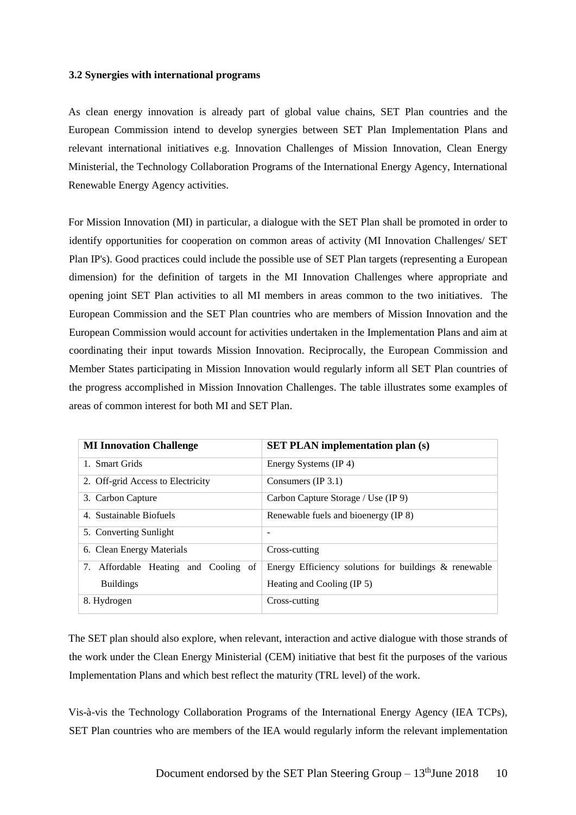### **3.2 Synergies with international programs**

As clean energy innovation is already part of global value chains, SET Plan countries and the European Commission intend to develop synergies between SET Plan Implementation Plans and relevant international initiatives e.g. Innovation Challenges of Mission Innovation, Clean Energy Ministerial, the Technology Collaboration Programs of the International Energy Agency, International Renewable Energy Agency activities.

For Mission Innovation (MI) in particular, a dialogue with the SET Plan shall be promoted in order to identify opportunities for cooperation on common areas of activity (MI Innovation Challenges/ SET Plan IP's). Good practices could include the possible use of SET Plan targets (representing a European dimension) for the definition of targets in the MI Innovation Challenges where appropriate and opening joint SET Plan activities to all MI members in areas common to the two initiatives. The European Commission and the SET Plan countries who are members of Mission Innovation and the European Commission would account for activities undertaken in the Implementation Plans and aim at coordinating their input towards Mission Innovation. Reciprocally, the European Commission and Member States participating in Mission Innovation would regularly inform all SET Plan countries of the progress accomplished in Mission Innovation Challenges. The table illustrates some examples of areas of common interest for both MI and SET Plan.

| <b>MI Innovation Challenge</b>          | <b>SET PLAN</b> implementation plan (s)               |
|-----------------------------------------|-------------------------------------------------------|
| 1. Smart Grids                          | Energy Systems (IP 4)                                 |
| 2. Off-grid Access to Electricity       | Consumers $(IP 3.1)$                                  |
| 3. Carbon Capture                       | Carbon Capture Storage / Use (IP 9)                   |
| 4. Sustainable Biofuels                 | Renewable fuels and bioenergy (IP 8)                  |
| 5. Converting Sunlight                  | $\overline{\phantom{0}}$                              |
| 6. Clean Energy Materials               | Cross-cutting                                         |
| Affordable Heating and Cooling of<br>7. | Energy Efficiency solutions for buildings & renewable |
| <b>Buildings</b>                        | Heating and Cooling (IP 5)                            |
| 8. Hydrogen                             | Cross-cutting                                         |

The SET plan should also explore, when relevant, interaction and active dialogue with those strands of the work under the Clean Energy Ministerial (CEM) initiative that best fit the purposes of the various Implementation Plans and which best reflect the maturity (TRL level) of the work.

Vis-à-vis the Technology Collaboration Programs of the International Energy Agency (IEA TCPs), SET Plan countries who are members of the IEA would regularly inform the relevant implementation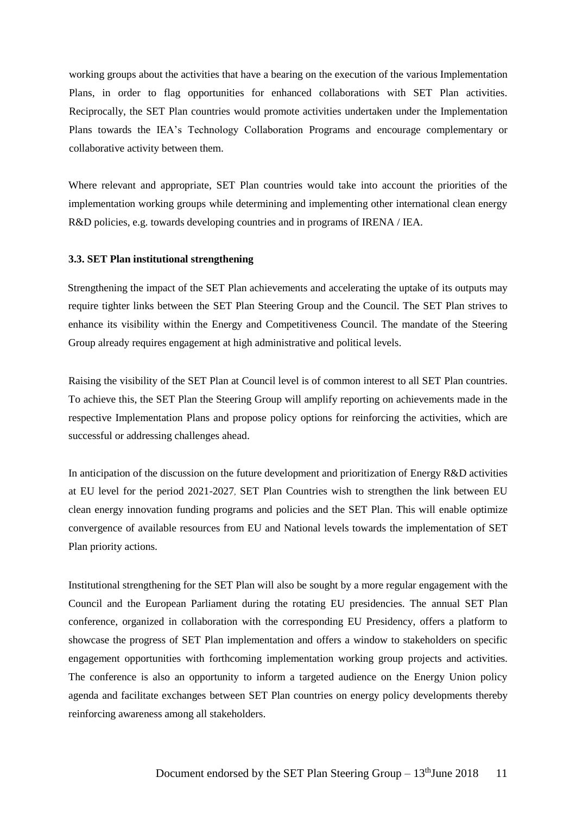working groups about the activities that have a bearing on the execution of the various Implementation Plans, in order to flag opportunities for enhanced collaborations with SET Plan activities. Reciprocally, the SET Plan countries would promote activities undertaken under the Implementation Plans towards the IEA's Technology Collaboration Programs and encourage complementary or collaborative activity between them.

Where relevant and appropriate, SET Plan countries would take into account the priorities of the implementation working groups while determining and implementing other international clean energy R&D policies, e.g. towards developing countries and in programs of IRENA / IEA.

## **3.3. SET Plan institutional strengthening**

Strengthening the impact of the SET Plan achievements and accelerating the uptake of its outputs may require tighter links between the SET Plan Steering Group and the Council. The SET Plan strives to enhance its visibility within the Energy and Competitiveness Council. The mandate of the Steering Group already requires engagement at high administrative and political levels.

Raising the visibility of the SET Plan at Council level is of common interest to all SET Plan countries. To achieve this, the SET Plan the Steering Group will amplify reporting on achievements made in the respective Implementation Plans and propose policy options for reinforcing the activities, which are successful or addressing challenges ahead.

In anticipation of the discussion on the future development and prioritization of Energy R&D activities at EU level for the period 2021-2027, SET Plan Countries wish to strengthen the link between EU clean energy innovation funding programs and policies and the SET Plan. This will enable optimize convergence of available resources from EU and National levels towards the implementation of SET Plan priority actions.

Institutional strengthening for the SET Plan will also be sought by a more regular engagement with the Council and the European Parliament during the rotating EU presidencies. The annual SET Plan conference, organized in collaboration with the corresponding EU Presidency, offers a platform to showcase the progress of SET Plan implementation and offers a window to stakeholders on specific engagement opportunities with forthcoming implementation working group projects and activities. The conference is also an opportunity to inform a targeted audience on the Energy Union policy agenda and facilitate exchanges between SET Plan countries on energy policy developments thereby reinforcing awareness among all stakeholders.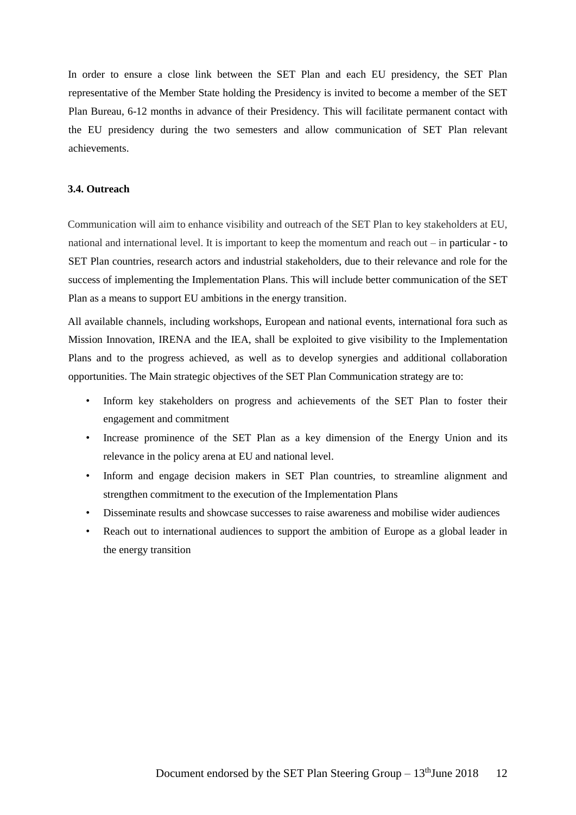In order to ensure a close link between the SET Plan and each EU presidency, the SET Plan representative of the Member State holding the Presidency is invited to become a member of the SET Plan Bureau, 6-12 months in advance of their Presidency. This will facilitate permanent contact with the EU presidency during the two semesters and allow communication of SET Plan relevant achievements.

## **3.4. Outreach**

Communication will aim to enhance visibility and outreach of the SET Plan to key stakeholders at EU, national and international level. It is important to keep the momentum and reach out – in particular - to SET Plan countries, research actors and industrial stakeholders, due to their relevance and role for the success of implementing the Implementation Plans. This will include better communication of the SET Plan as a means to support EU ambitions in the energy transition.

All available channels, including workshops, European and national events, international fora such as Mission Innovation, IRENA and the IEA, shall be exploited to give visibility to the Implementation Plans and to the progress achieved, as well as to develop synergies and additional collaboration opportunities. The Main strategic objectives of the SET Plan Communication strategy are to:

- Inform key stakeholders on progress and achievements of the SET Plan to foster their engagement and commitment
- Increase prominence of the SET Plan as a key dimension of the Energy Union and its relevance in the policy arena at EU and national level.
- Inform and engage decision makers in SET Plan countries, to streamline alignment and strengthen commitment to the execution of the Implementation Plans
- Disseminate results and showcase successes to raise awareness and mobilise wider audiences
- Reach out to international audiences to support the ambition of Europe as a global leader in the energy transition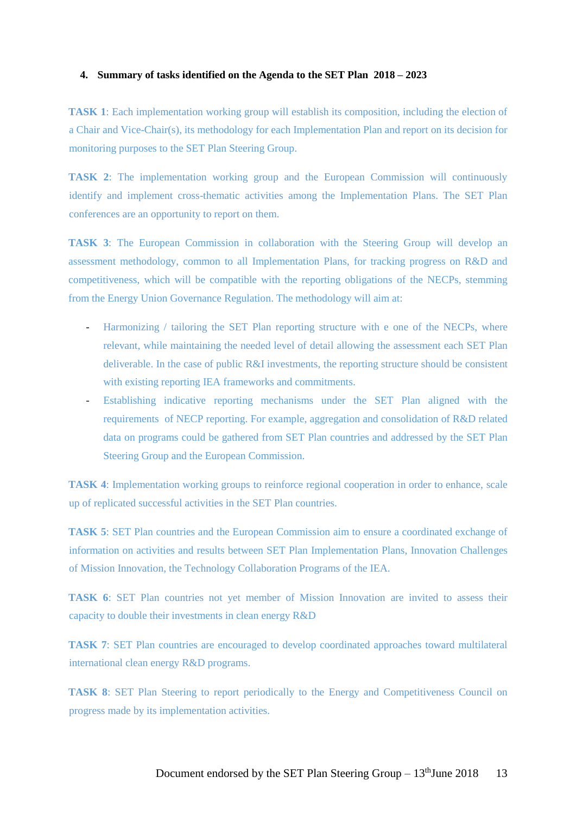### **4. Summary of tasks identified on the Agenda to the SET Plan 2018 – 2023**

**TASK 1**: Each implementation working group will establish its composition, including the election of a Chair and Vice-Chair(s), its methodology for each Implementation Plan and report on its decision for monitoring purposes to the SET Plan Steering Group.

**TASK 2**: The implementation working group and the European Commission will continuously identify and implement cross-thematic activities among the Implementation Plans. The SET Plan conferences are an opportunity to report on them.

**TASK 3**: The European Commission in collaboration with the Steering Group will develop an assessment methodology, common to all Implementation Plans, for tracking progress on R&D and competitiveness, which will be compatible with the reporting obligations of the NECPs, stemming from the Energy Union Governance Regulation. The methodology will aim at:

- Harmonizing / tailoring the SET Plan reporting structure with e one of the NECPs, where relevant, while maintaining the needed level of detail allowing the assessment each SET Plan deliverable. In the case of public R&I investments, the reporting structure should be consistent with existing reporting IEA frameworks and commitments.
- Establishing indicative reporting mechanisms under the SET Plan aligned with the requirements of NECP reporting. For example, aggregation and consolidation of R&D related data on programs could be gathered from SET Plan countries and addressed by the SET Plan Steering Group and the European Commission.

**TASK 4**: Implementation working groups to reinforce regional cooperation in order to enhance, scale up of replicated successful activities in the SET Plan countries.

**TASK 5**: SET Plan countries and the European Commission aim to ensure a coordinated exchange of information on activities and results between SET Plan Implementation Plans, Innovation Challenges of Mission Innovation, the Technology Collaboration Programs of the IEA.

**TASK 6**: SET Plan countries not yet member of Mission Innovation are invited to assess their capacity to double their investments in clean energy R&D

**TASK 7**: SET Plan countries are encouraged to develop coordinated approaches toward multilateral international clean energy R&D programs.

**TASK 8**: SET Plan Steering to report periodically to the Energy and Competitiveness Council on progress made by its implementation activities.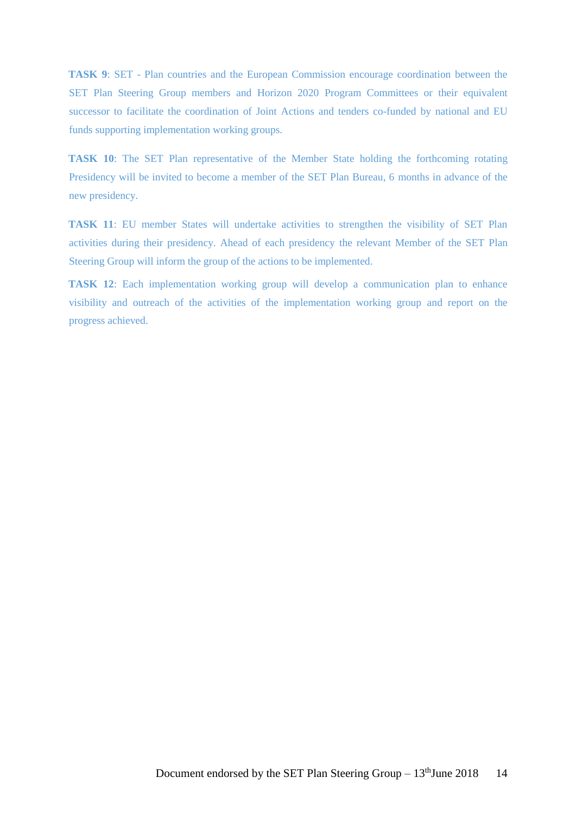**TASK 9**: SET - Plan countries and the European Commission encourage coordination between the SET Plan Steering Group members and Horizon 2020 Program Committees or their equivalent successor to facilitate the coordination of Joint Actions and tenders co-funded by national and EU funds supporting implementation working groups.

**TASK 10**: The SET Plan representative of the Member State holding the forthcoming rotating Presidency will be invited to become a member of the SET Plan Bureau, 6 months in advance of the new presidency.

**TASK 11**: EU member States will undertake activities to strengthen the visibility of SET Plan activities during their presidency. Ahead of each presidency the relevant Member of the SET Plan Steering Group will inform the group of the actions to be implemented.

**TASK 12**: Each implementation working group will develop a communication plan to enhance visibility and outreach of the activities of the implementation working group and report on the progress achieved.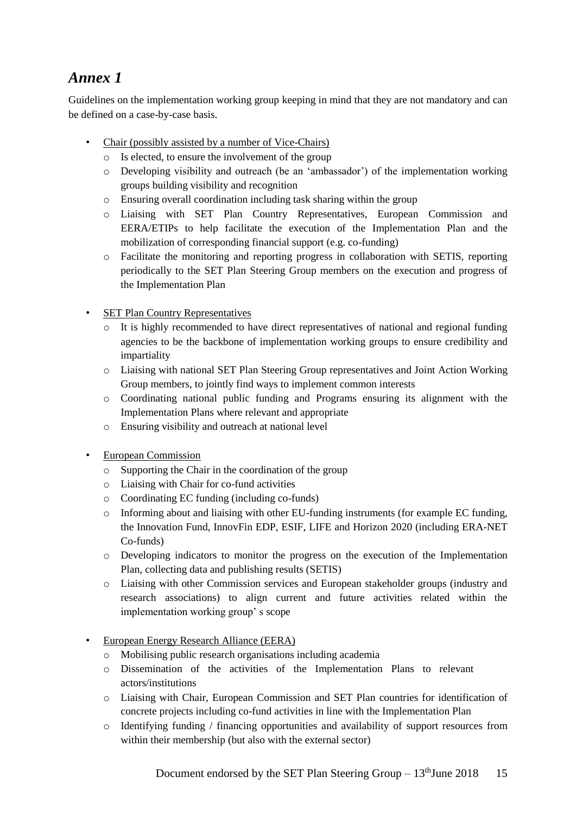# *Annex 1*

Guidelines on the implementation working group keeping in mind that they are not mandatory and can be defined on a case-by-case basis.

- Chair (possibly assisted by a number of Vice-Chairs)
	- o Is elected, to ensure the involvement of the group
	- o Developing visibility and outreach (be an 'ambassador') of the implementation working groups building visibility and recognition
	- o Ensuring overall coordination including task sharing within the group
	- o Liaising with SET Plan Country Representatives, European Commission and EERA/ETIPs to help facilitate the execution of the Implementation Plan and the mobilization of corresponding financial support (e.g. co-funding)
	- o Facilitate the monitoring and reporting progress in collaboration with SETIS, reporting periodically to the SET Plan Steering Group members on the execution and progress of the Implementation Plan
- SET Plan Country Representatives
	- $\circ$  It is highly recommended to have direct representatives of national and regional funding agencies to be the backbone of implementation working groups to ensure credibility and impartiality
	- o Liaising with national SET Plan Steering Group representatives and Joint Action Working Group members, to jointly find ways to implement common interests
	- o Coordinating national public funding and Programs ensuring its alignment with the Implementation Plans where relevant and appropriate
	- o Ensuring visibility and outreach at national level
- European Commission
	- o Supporting the Chair in the coordination of the group
	- o Liaising with Chair for co-fund activities
	- o Coordinating EC funding (including co-funds)
	- o Informing about and liaising with other EU-funding instruments (for example EC funding, the Innovation Fund, InnovFin EDP, ESIF, LIFE and Horizon 2020 (including ERA-NET Co-funds)
	- o Developing indicators to monitor the progress on the execution of the Implementation Plan, collecting data and publishing results (SETIS)
	- o Liaising with other Commission services and European stakeholder groups (industry and research associations) to align current and future activities related within the implementation working group' s scope
- European Energy Research Alliance (EERA)
	- o Mobilising public research organisations including academia
	- o Dissemination of the activities of the Implementation Plans to relevant actors/institutions
	- o Liaising with Chair, European Commission and SET Plan countries for identification of concrete projects including co-fund activities in line with the Implementation Plan
	- $\circ$  Identifying funding / financing opportunities and availability of support resources from within their membership (but also with the external sector)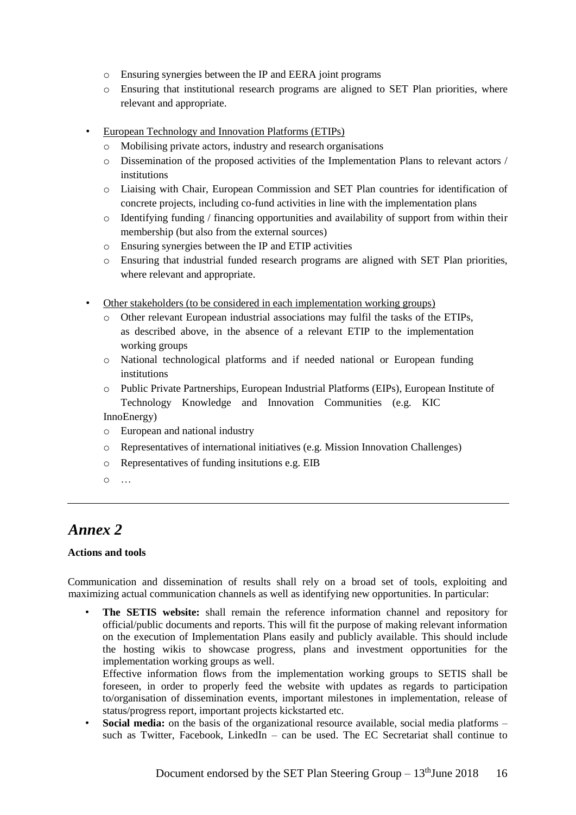- o Ensuring synergies between the IP and EERA joint programs
- o Ensuring that institutional research programs are aligned to SET Plan priorities, where relevant and appropriate.
- European Technology and Innovation Platforms (ETIPs)
	- o Mobilising private actors, industry and research organisations
	- o Dissemination of the proposed activities of the Implementation Plans to relevant actors / institutions
	- o Liaising with Chair, European Commission and SET Plan countries for identification of concrete projects, including co-fund activities in line with the implementation plans
	- $\circ$  Identifying funding / financing opportunities and availability of support from within their membership (but also from the external sources)
	- o Ensuring synergies between the IP and ETIP activities
	- o Ensuring that industrial funded research programs are aligned with SET Plan priorities, where relevant and appropriate.
- Other stakeholders (to be considered in each implementation working groups)
	- o Other relevant European industrial associations may fulfil the tasks of the ETIPs, as described above, in the absence of a relevant ETIP to the implementation working groups
	- o National technological platforms and if needed national or European funding institutions
	- o Public Private Partnerships, European Industrial Platforms (EIPs), European Institute of Technology Knowledge and Innovation Communities (e.g. KIC InnoEnergy)
	- o European and national industry
	- o Representatives of international initiatives (e.g. Mission Innovation Challenges)
	- o Representatives of funding insitutions e.g. EIB
	- o …

# *Annex 2*

## **Actions and tools**

Communication and dissemination of results shall rely on a broad set of tools, exploiting and maximizing actual communication channels as well as identifying new opportunities. In particular:

• **The SETIS website:** shall remain the reference information channel and repository for official/public documents and reports. This will fit the purpose of making relevant information on the execution of Implementation Plans easily and publicly available. This should include the hosting wikis to showcase progress, plans and investment opportunities for the implementation working groups as well.

Effective information flows from the implementation working groups to SETIS shall be foreseen, in order to properly feed the website with updates as regards to participation to/organisation of dissemination events, important milestones in implementation, release of status/progress report, important projects kickstarted etc.

**Social media:** on the basis of the organizational resource available, social media platforms – such as Twitter, Facebook, LinkedIn  $-$  can be used. The EC Secretariat shall continue to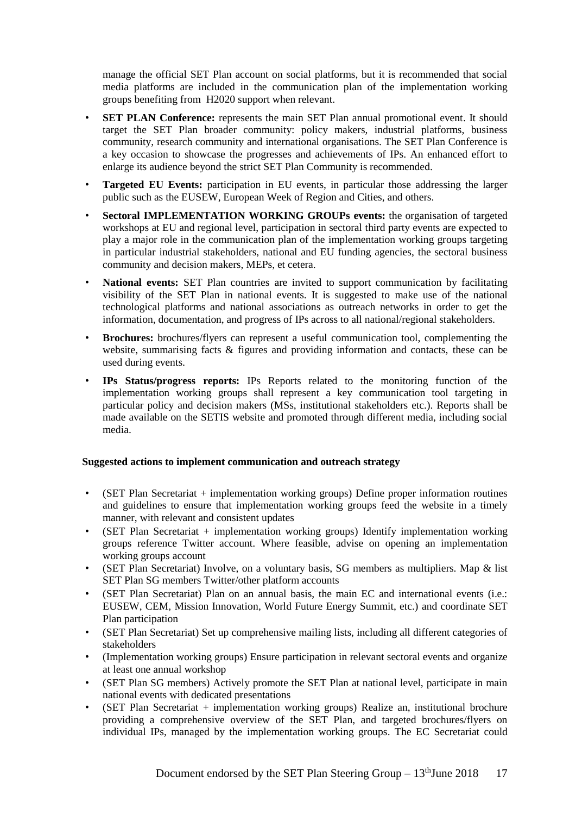manage the official SET Plan account on social platforms, but it is recommended that social media platforms are included in the communication plan of the implementation working groups benefiting from H2020 support when relevant.

- **SET PLAN Conference:** represents the main SET Plan annual promotional event. It should target the SET Plan broader community: policy makers, industrial platforms, business community, research community and international organisations. The SET Plan Conference is a key occasion to showcase the progresses and achievements of IPs. An enhanced effort to enlarge its audience beyond the strict SET Plan Community is recommended.
- **Targeted EU Events:** participation in EU events, in particular those addressing the larger public such as the EUSEW, European Week of Region and Cities, and others.
- **Sectoral IMPLEMENTATION WORKING GROUPs events:** the organisation of targeted workshops at EU and regional level, participation in sectoral third party events are expected to play a major role in the communication plan of the implementation working groups targeting in particular industrial stakeholders, national and EU funding agencies, the sectoral business community and decision makers, MEPs, et cetera.
- **National events:** SET Plan countries are invited to support communication by facilitating visibility of the SET Plan in national events. It is suggested to make use of the national technological platforms and national associations as outreach networks in order to get the information, documentation, and progress of IPs across to all national/regional stakeholders.
- **Brochures:** brochures/flyers can represent a useful communication tool, complementing the website, summarising facts & figures and providing information and contacts, these can be used during events.
- **IPs Status/progress reports:** IPs Reports related to the monitoring function of the implementation working groups shall represent a key communication tool targeting in particular policy and decision makers (MSs, institutional stakeholders etc.). Reports shall be made available on the SETIS website and promoted through different media, including social media.

# **Suggested actions to implement communication and outreach strategy**

- (SET Plan Secretariat + implementation working groups) Define proper information routines and guidelines to ensure that implementation working groups feed the website in a timely manner, with relevant and consistent updates
- (SET Plan Secretariat + implementation working groups) Identify implementation working groups reference Twitter account. Where feasible, advise on opening an implementation working groups account
- (SET Plan Secretariat) Involve, on a voluntary basis, SG members as multipliers. Map & list SET Plan SG members Twitter/other platform accounts
- (SET Plan Secretariat) Plan on an annual basis, the main EC and international events (i.e.: EUSEW, CEM, Mission Innovation, World Future Energy Summit, etc.) and coordinate SET Plan participation
- (SET Plan Secretariat) Set up comprehensive mailing lists, including all different categories of stakeholders
- (Implementation working groups) Ensure participation in relevant sectoral events and organize at least one annual workshop
- (SET Plan SG members) Actively promote the SET Plan at national level, participate in main national events with dedicated presentations
- (SET Plan Secretariat + implementation working groups) Realize an, institutional brochure providing a comprehensive overview of the SET Plan, and targeted brochures/flyers on individual IPs, managed by the implementation working groups. The EC Secretariat could